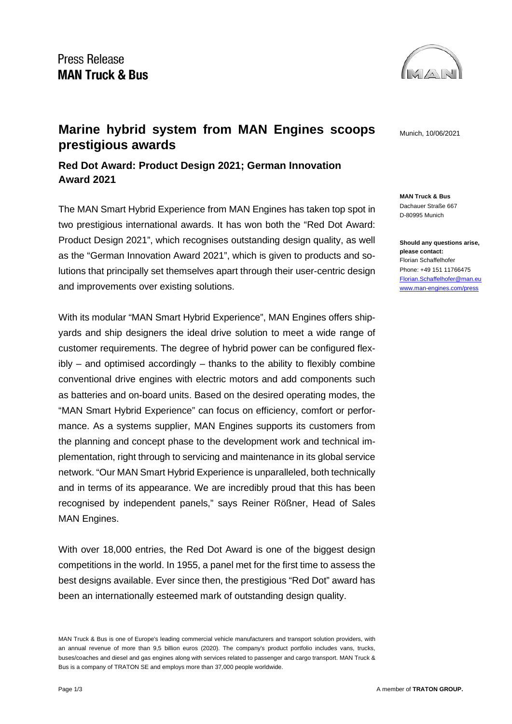

**MAN Truck & Bus** Dachauer Straße 667 D-80995 Munich

**Should any questions arise, please contact:** Florian Schaffelhofer Phone: +49 151 11766475 [Florian.Schaffelhofer@man.eu](mailto:Florian.Schaffelhofer@man.eu) [www.man-engines.com/press](https://press.mantruckandbus.com/)

## **Marine hybrid system from MAN Engines scoops** Munich, 10/06/2021 **prestigious awards**

**Red Dot Award: Product Design 2021; German Innovation Award 2021**

The MAN Smart Hybrid Experience from MAN Engines has taken top spot in two prestigious international awards. It has won both the "Red Dot Award: Product Design 2021", which recognises outstanding design quality, as well as the "German Innovation Award 2021", which is given to products and solutions that principally set themselves apart through their user-centric design and improvements over existing solutions.

With its modular "MAN Smart Hybrid Experience", MAN Engines offers shipyards and ship designers the ideal drive solution to meet a wide range of customer requirements. The degree of hybrid power can be configured flexibly – and optimised accordingly – thanks to the ability to flexibly combine conventional drive engines with electric motors and add components such as batteries and on-board units. Based on the desired operating modes, the "MAN Smart Hybrid Experience" can focus on efficiency, comfort or performance. As a systems supplier, MAN Engines supports its customers from the planning and concept phase to the development work and technical implementation, right through to servicing and maintenance in its global service network. "Our MAN Smart Hybrid Experience is unparalleled, both technically and in terms of its appearance. We are incredibly proud that this has been recognised by independent panels," says Reiner Rößner, Head of Sales MAN Engines.

With over 18,000 entries, the Red Dot Award is one of the biggest design competitions in the world. In 1955, a panel met for the first time to assess the best designs available. Ever since then, the prestigious "Red Dot" award has been an internationally esteemed mark of outstanding design quality.

MAN Truck & Bus is one of Europe's leading commercial vehicle manufacturers and transport solution providers, with an annual revenue of more than 9,5 billion euros (2020). The company's product portfolio includes vans, trucks, buses/coaches and diesel and gas engines along with services related to passenger and cargo transport. MAN Truck & Bus is a company of TRATON SE and employs more than 37,000 people worldwide.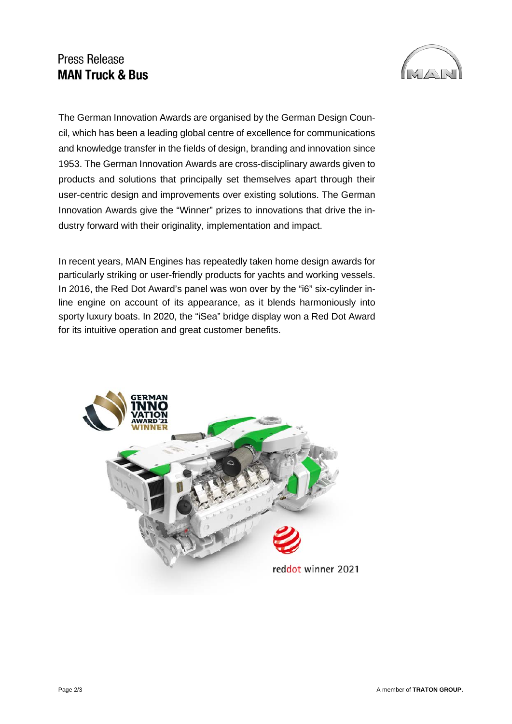## **Press Release MAN Truck & Bus**



The German Innovation Awards are organised by the German Design Council, which has been a leading global centre of excellence for communications and knowledge transfer in the fields of design, branding and innovation since 1953. The German Innovation Awards are cross-disciplinary awards given to products and solutions that principally set themselves apart through their user-centric design and improvements over existing solutions. The German Innovation Awards give the "Winner" prizes to innovations that drive the industry forward with their originality, implementation and impact.

In recent years, MAN Engines has repeatedly taken home design awards for particularly striking or user-friendly products for yachts and working vessels. In 2016, the Red Dot Award's panel was won over by the "i6" six-cylinder inline engine on account of its appearance, as it blends harmoniously into sporty luxury boats. In 2020, the "iSea" bridge display won a Red Dot Award for its intuitive operation and great customer benefits.